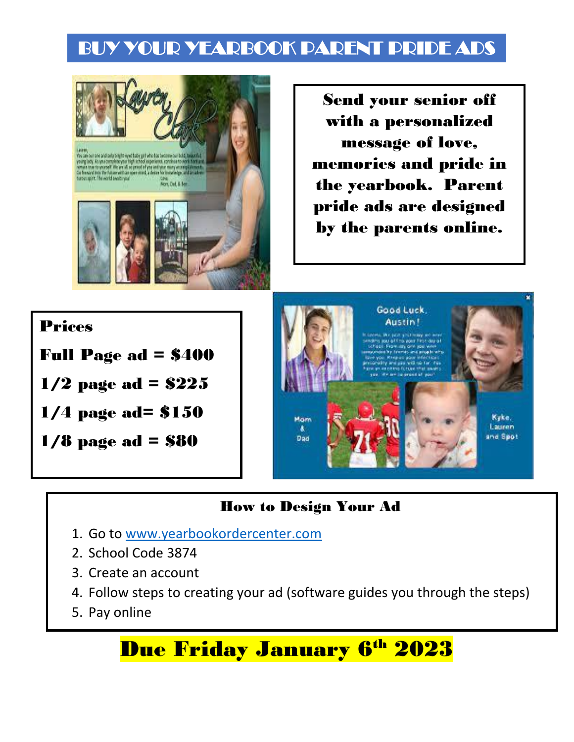## BUY YOUR YEARBOOK PARENT PRIDE ADS



Send your senior off with a personalized message of love, memories and pride in the yearbook. Parent pride ads are designed by the parents online.

### Prices

Full Page ad = \$400

 $1/2$  page ad = \$225

1/4 page ad= \$150

1/8 page ad = \$80



### How to Design Your Ad

- 1. Go to [www.yearbookordercenter.com](http://www.yearbookordercenter.com/)
- 2. School Code 3874
- 3. Create an account
- 4. Follow steps to creating your ad (software guides you through the steps)
- 5. Pay online

# **Due Friday January 6th 2023**